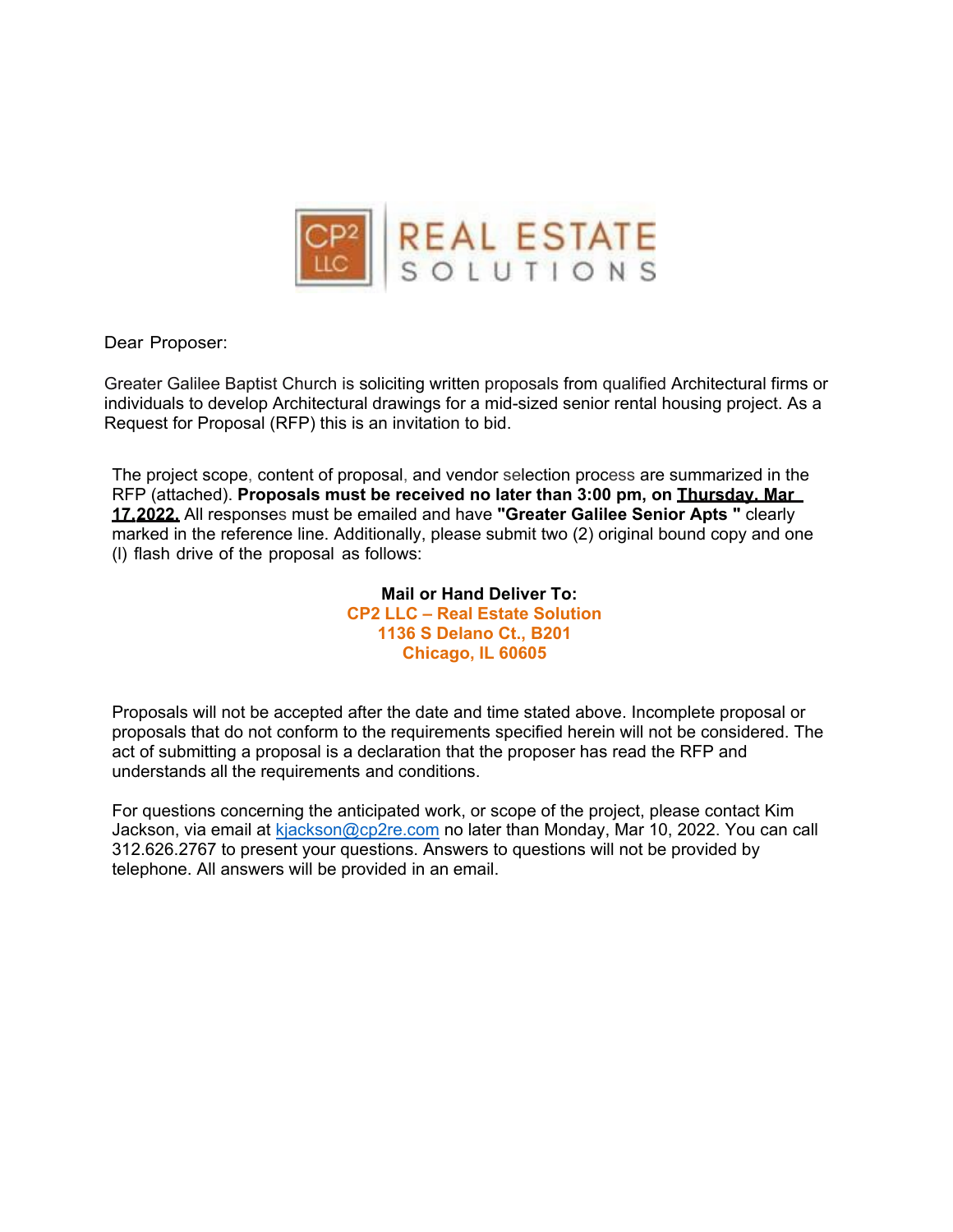

Dear Proposer:

Greater Galilee Baptist Church is soliciting written proposals from qualified Architectural firms or individuals to develop Architectural drawings for a mid-sized senior rental housing project. As a Request for Proposal (RFP) this is an invitation to bid.

The project scope, content of proposal, and vendor selection process are summarized in the RFP (attached). **Proposals must be received no later than 3:00 pm, on Thursday, Mar 17, 2022.** All responses must be emailed and have **"Greater Galilee Senior Apts "** clearly marked in the reference line. Additionally, please submit two (2) original bound copy and one (l) flash drive of the proposal as follows:

> **Mail or Hand Deliver To: CP2 LLC – Real Estate Solution 1136 S Delano Ct., B201 Chicago, IL 60605**

Proposals will not be accepted after the date and time stated above. Incomplete proposal or proposals that do not conform to the requirements specified herein will not be considered. The act of submitting a proposal is a declaration that the proposer has read the RFP and understands all the requirements and conditions.

For questions concerning the anticipated work, or scope of the project, please contact Kim Jackson, via email at [kjackson@cp2re.com](mailto:kjackson@cp2re.com) no later than Monday, Mar 10, 2022. You can call 312.626.2767 to present your questions. Answers to questions will not be provided by telephone. All answers will be provided in an email.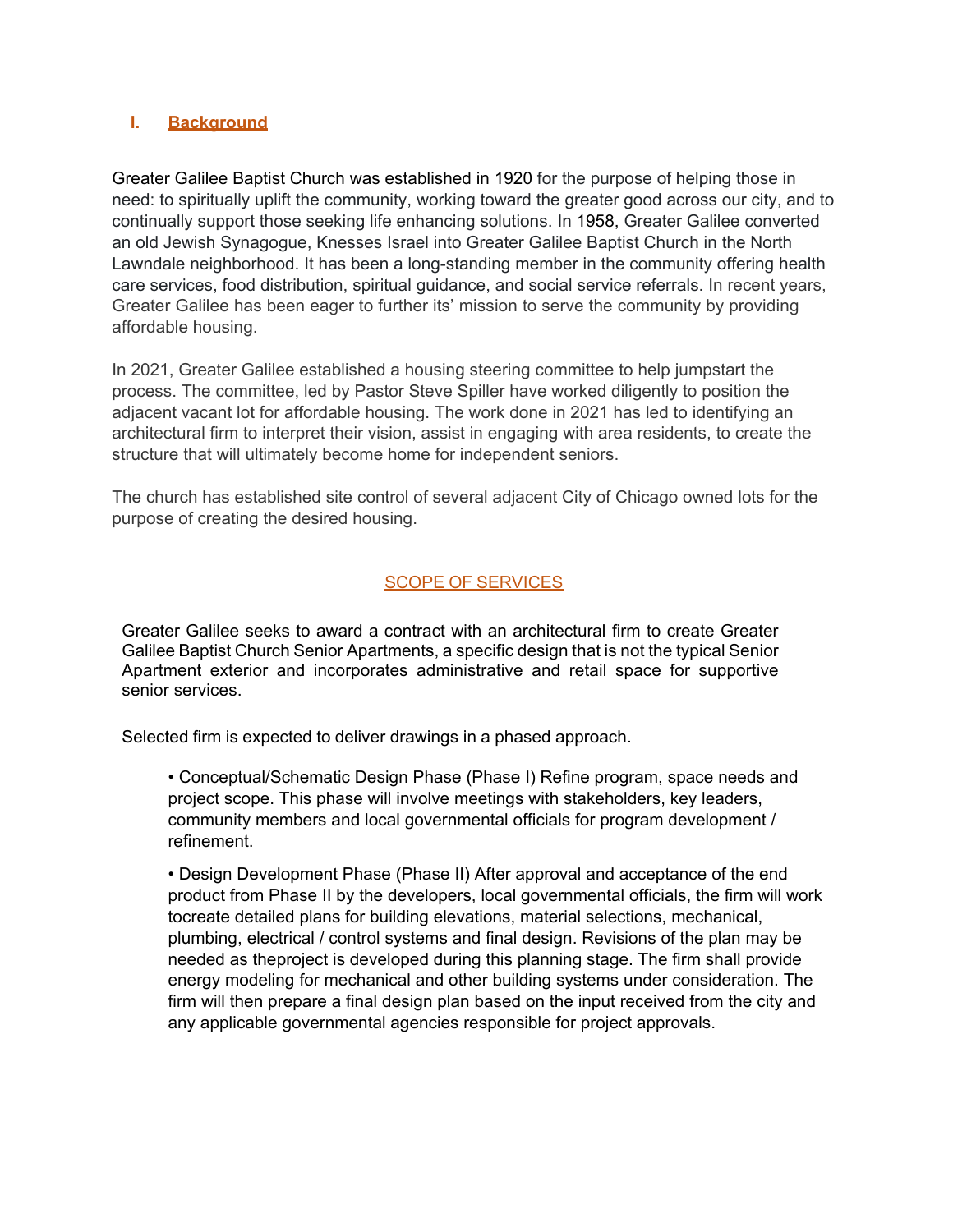## **I. Background**

Greater Galilee Baptist Church was established in 1920 for the purpose of helping those in need: to spiritually uplift the community, working toward the greater good across our city, and to continually support those seeking life enhancing solutions. In 1958, Greater Galilee converted an old Jewish Synagogue, Knesses Israel into Greater Galilee Baptist Church in the North Lawndale neighborhood. It has been a long-standing member in the community offering health care services, food distribution, spiritual guidance, and social service referrals. In recent years, Greater Galilee has been eager to further its' mission to serve the community by providing affordable housing.

In 2021, Greater Galilee established a housing steering committee to help jumpstart the process. The committee, led by Pastor Steve Spiller have worked diligently to position the adjacent vacant lot for affordable housing. The work done in 2021 has led to identifying an architectural firm to interpret their vision, assist in engaging with area residents, to create the structure that will ultimately become home for independent seniors.

The church has established site control of several adjacent City of Chicago owned lots for the purpose of creating the desired housing.

## **SCOPE OF SERVICES**

Greater Galilee seeks to award a contract with an architectural firm to create Greater Galilee Baptist Church Senior Apartments, a specific design that is not the typical Senior Apartment exterior and incorporates administrative and retail space for supportive senior services.

Selected firm is expected to deliver drawings in a phased approach.

• Conceptual/Schematic Design Phase (Phase I) Refine program, space needs and project scope. This phase will involve meetings with stakeholders, key leaders, community members and local governmental officials for program development / refinement.

• Design Development Phase (Phase II) After approval and acceptance of the end product from Phase II by the developers, local governmental officials, the firm will work tocreate detailed plans for building elevations, material selections, mechanical, plumbing, electrical / control systems and final design. Revisions of the plan may be needed as theproject is developed during this planning stage. The firm shall provide energy modeling for mechanical and other building systems under consideration. The firm will then prepare a final design plan based on the input received from the city and any applicable governmental agencies responsible for project approvals.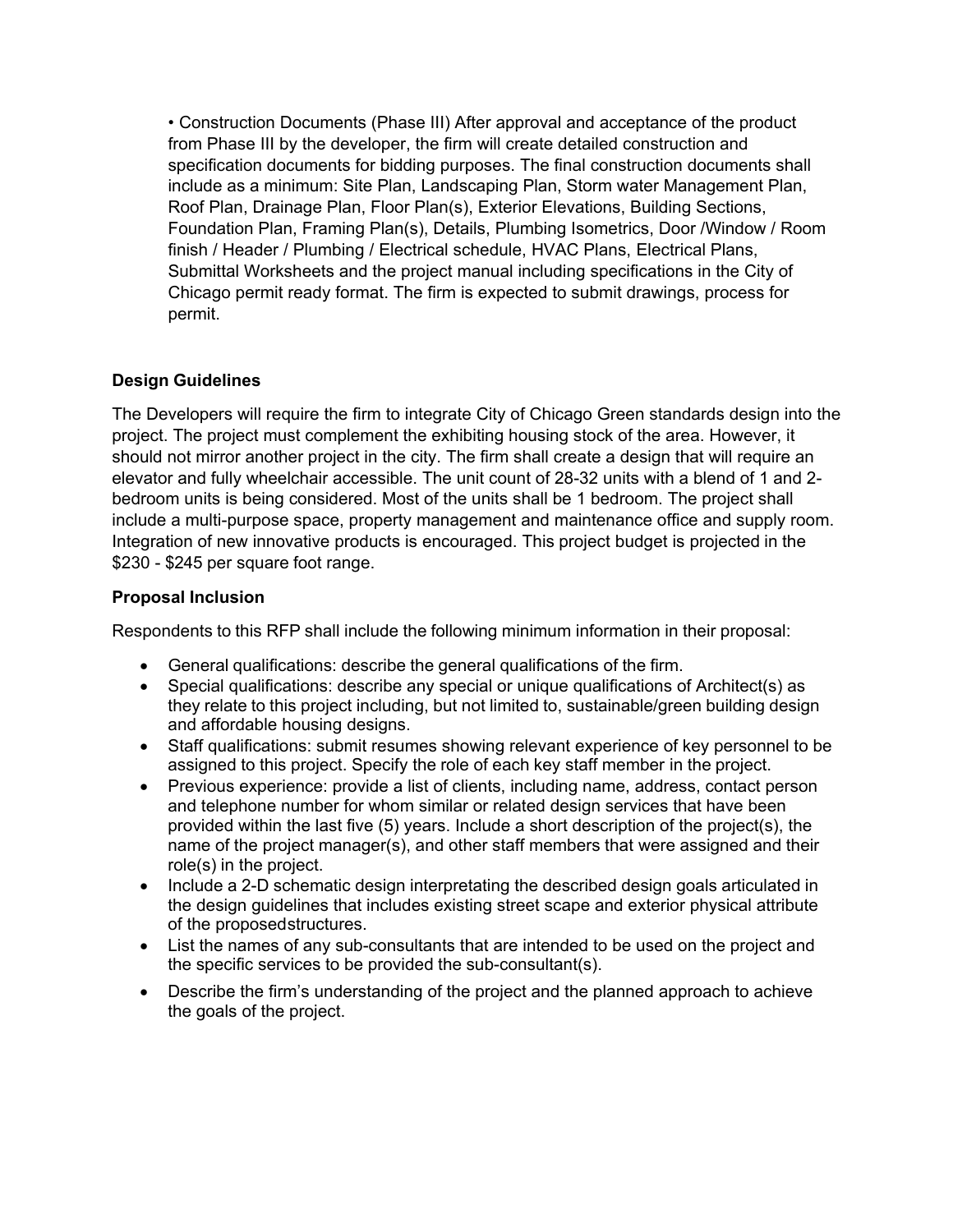• Construction Documents (Phase III) After approval and acceptance of the product from Phase III by the developer, the firm will create detailed construction and specification documents for bidding purposes. The final construction documents shall include as a minimum: Site Plan, Landscaping Plan, Storm water Management Plan, Roof Plan, Drainage Plan, Floor Plan(s), Exterior Elevations, Building Sections, Foundation Plan, Framing Plan(s), Details, Plumbing Isometrics, Door /Window / Room finish / Header / Plumbing / Electrical schedule, HVAC Plans, Electrical Plans, Submittal Worksheets and the project manual including specifications in the City of Chicago permit ready format. The firm is expected to submit drawings, process for permit.

## **Design Guidelines**

The Developers will require the firm to integrate City of Chicago Green standards design into the project. The project must complement the exhibiting housing stock of the area. However, it should not mirror another project in the city. The firm shall create a design that will require an elevator and fully wheelchair accessible. The unit count of 28-32 units with a blend of 1 and 2 bedroom units is being considered. Most of the units shall be 1 bedroom. The project shall include a multi-purpose space, property management and maintenance office and supply room. Integration of new innovative products is encouraged. This project budget is projected in the \$230 - \$245 per square foot range.

## **Proposal Inclusion**

Respondents to this RFP shall include the following minimum information in their proposal:

- General qualifications: describe the general qualifications of the firm.
- Special qualifications: describe any special or unique qualifications of Architect(s) as they relate to this project including, but not limited to, sustainable/green building design and affordable housing designs.
- Staff qualifications: submit resumes showing relevant experience of key personnel to be assigned to this project. Specify the role of each key staff member in the project.
- Previous experience: provide a list of clients, including name, address, contact person and telephone number for whom similar or related design services that have been provided within the last five (5) years. Include a short description of the project(s), the name of the project manager(s), and other staff members that were assigned and their role(s) in the project.
- Include a 2-D schematic design interpretating the described design goals articulated in the design guidelines that includes existing street scape and exterior physical attribute of the proposed structures.
- List the names of any sub-consultants that are intended to be used on the project and the specific services to be provided the sub-consultant(s).
- Describe the firm's understanding of the project and the planned approach to achieve the goals of the project.